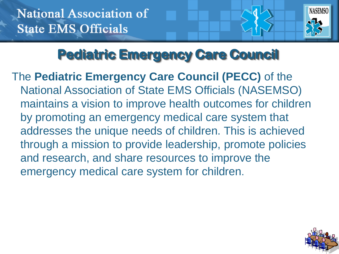

## **Pediatric Emergency Care Council**

The **Pediatric Emergency Care Council (PECC)** of the National Association of State EMS Officials (NASEMSO) maintains a vision to improve health outcomes for children by promoting an emergency medical care system that addresses the unique needs of children. This is achieved through a mission to provide leadership, promote policies and research, and share resources to improve the emergency medical care system for children.

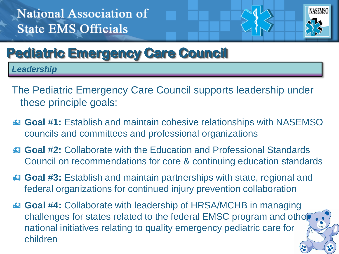

## **Pediatric Emergency Care Council**

*Leadership*

- The Pediatric Emergency Care Council supports leadership under these principle goals:
- **Goal #1:** Establish and maintain cohesive relationships with NASEMSO councils and committees and professional organizations
- **Goal #2:** Collaborate with the Education and Professional Standards Council on recommendations for core & continuing education standards
- **Goal #3:** Establish and maintain partnerships with state, regional and federal organizations for continued injury prevention collaboration
- **Goal #4:** Collaborate with leadership of HRSA/MCHB in managing challenges for states related to the federal EMSC program and other national initiatives relating to quality emergency pediatric care for children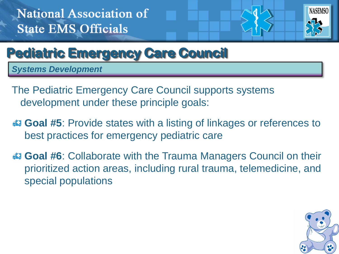

### **Pediatric Emergency Care Council**

*Systems Development*

- The Pediatric Emergency Care Council supports systems development under these principle goals:
- **Goal #5**: Provide states with a listing of linkages or references to best practices for emergency pediatric care
- **Goal #6**: Collaborate with the Trauma Managers Council on their prioritized action areas, including rural trauma, telemedicine, and special populations

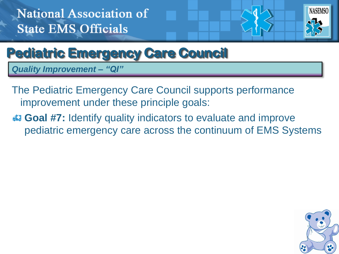

#### **Pediatric Emergency Care Council**

*Quality Improvement – "QI"*

- The Pediatric Emergency Care Council supports performance improvement under these principle goals:
- **Goal #7:** Identify quality indicators to evaluate and improve pediatric emergency care across the continuum of EMS Systems

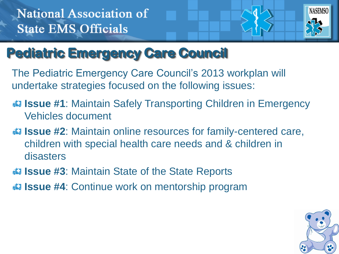

## **Pediatric Emergency Care Council**

The Pediatric Emergency Care Council's 2013 workplan will undertake strategies focused on the following issues:

- **Issue #1**: Maintain Safely Transporting Children in Emergency Vehicles document
- **Issue #2**: Maintain online resources for family-centered care, children with special health care needs and & children in disasters
- **ISSUE #3:** Maintain State of the State Reports
- **ISSUE #4:** Continue work on mentorship program